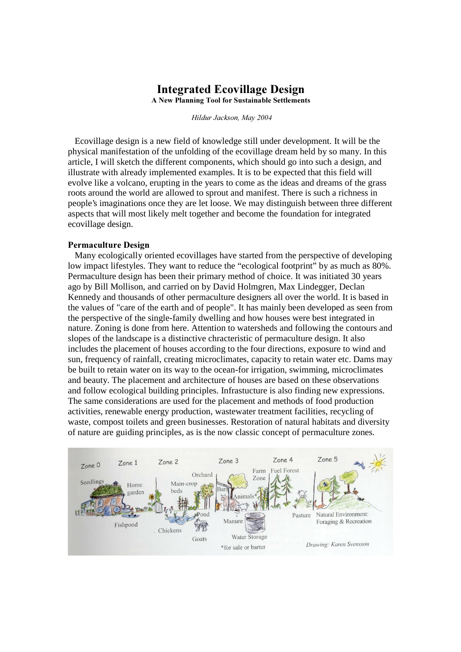# **Integrated Ecovillage Design**

A New Planning Tool for Sustainable Settlements

Hildur Jackson, May 2004

 Ecovillage design is a new field of knowledge still under development. It will be the physical manifestation of the unfolding of the ecovillage dream held by so many. In this article, I will sketch the different components, which should go into such a design, and illustrate with already implemented examples. It is to be expected that this field will evolve like a volcano, erupting in the years to come as the ideas and dreams of the grass roots around the world are allowed to sprout and manifest. There is such a richness in people's imaginations once they are let loose. We may distinguish between three different aspects that will most likely melt together and become the foundation for integrated ecovillage design.

#### Permaculture Design

 Many ecologically oriented ecovillages have started from the perspective of developing low impact lifestyles. They want to reduce the "ecological footprint" by as much as 80%. Permaculture design has been their primary method of choice. It was initiated 30 years ago by Bill Mollison, and carried on by David Holmgren, Max Lindegger, Declan Kennedy and thousands of other permaculture designers all over the world. It is based in the values of "care of the earth and of people". It has mainly been developed as seen from the perspective of the single-family dwelling and how houses were best integrated in nature. Zoning is done from here. Attention to watersheds and following the contours and slopes of the landscape is a distinctive chracteristic of permaculture design. It also includes the placement of houses according to the four directions, exposure to wind and sun, frequency of rainfall, creating microclimates, capacity to retain water etc. Dams may be built to retain water on its way to the ocean-for irrigation, swimming, microclimates and beauty. The placement and architecture of houses are based on these observations and follow ecological building principles. Infrastucture is also finding new expressions. The same considerations are used for the placement and methods of food production activities, renewable energy production, wastewater treatment facilities, recycling of waste, compost toilets and green businesses. Restoration of natural habitats and diversity of nature are guiding principles, as is the now classic concept of permaculture zones.

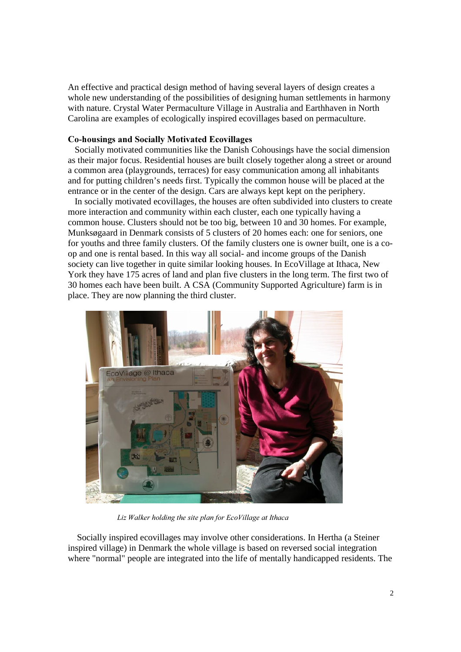An effective and practical design method of having several layers of design creates a whole new understanding of the possibilities of designing human settlements in harmony with nature. Crystal Water Permaculture Village in Australia and Earthhaven in North Carolina are examples of ecologically inspired ecovillages based on permaculture.

## Co-housings and Socially Motivated Ecovillages

 Socially motivated communities like the Danish Cohousings have the social dimension as their major focus. Residential houses are built closely together along a street or around a common area (playgrounds, terraces) for easy communication among all inhabitants and for putting children's needs first. Typically the common house will be placed at the entrance or in the center of the design. Cars are always kept kept on the periphery.

 In socially motivated ecovillages, the houses are often subdivided into clusters to create more interaction and community within each cluster, each one typically having a common house. Clusters should not be too big, between 10 and 30 homes. For example, Munksøgaard in Denmark consists of 5 clusters of 20 homes each: one for seniors, one for youths and three family clusters. Of the family clusters one is owner built, one is a coop and one is rental based. In this way all social- and income groups of the Danish society can live together in quite similar looking houses. In EcoVillage at Ithaca, New York they have 175 acres of land and plan five clusters in the long term. The first two of 30 homes each have been built. A CSA (Community Supported Agriculture) farm is in place. They are now planning the third cluster.



Liz Walker holding the site plan for EcoVillage at Ithaca

 Socially inspired ecovillages may involve other considerations. In Hertha (a Steiner inspired village) in Denmark the whole village is based on reversed social integration where "normal" people are integrated into the life of mentally handicapped residents. The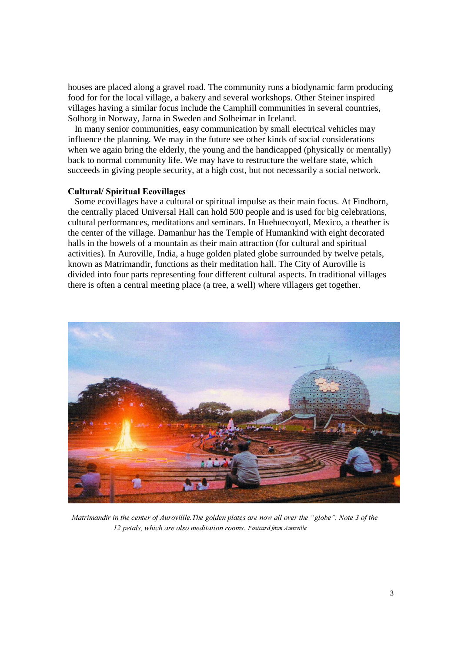houses are placed along a gravel road. The community runs a biodynamic farm producing food for for the local village, a bakery and several workshops. Other Steiner inspired villages having a similar focus include the Camphill communities in several countries, Solborg in Norway, Jarna in Sweden and Solheimar in Iceland.

 In many senior communities, easy communication by small electrical vehicles may influence the planning. We may in the future see other kinds of social considerations when we again bring the elderly, the young and the handicapped (physically or mentally) back to normal community life. We may have to restructure the welfare state, which succeeds in giving people security, at a high cost, but not necessarily a social network.

## Cultural/Spiritual Ecovillages

 Some ecovillages have a cultural or spiritual impulse as their main focus. At Findhorn, the centrally placed Universal Hall can hold 500 people and is used for big celebrations, cultural performances, meditations and seminars. In Huehuecoyotl, Mexico, a theather is the center of the village. Damanhur has the Temple of Humankind with eight decorated halls in the bowels of a mountain as their main attraction (for cultural and spiritual activities). In Auroville, India, a huge golden plated globe surrounded by twelve petals, known as Matrimandir, functions as their meditation hall. The City of Auroville is divided into four parts representing four different cultural aspects. In traditional villages there is often a central meeting place (a tree, a well) where villagers get together.



Matrimandir in the center of Aurovillle. The golden plates are now all over the "globe". Note 3 of the 12 petals, which are also meditation rooms. Postcard from Auroville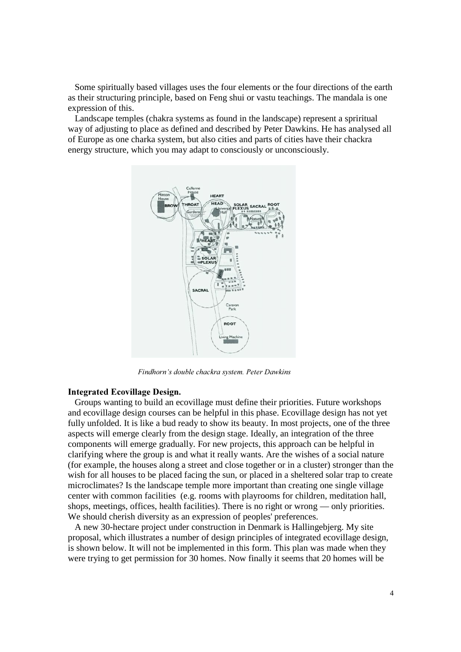Some spiritually based villages uses the four elements or the four directions of the earth as their structuring principle, based on Feng shui or vastu teachings. The mandala is one expression of this.

 Landscape temples (chakra systems as found in the landscape) represent a spriritual way of adjusting to place as defined and described by Peter Dawkins. He has analysed all of Europe as one charka system, but also cities and parts of cities have their chackra energy structure, which you may adapt to consciously or unconsciously.



Findhorn's double chackra system. Peter Dawkins

#### Integrated Ecovillage Design.

 Groups wanting to build an ecovillage must define their priorities. Future workshops and ecovillage design courses can be helpful in this phase. Ecovillage design has not yet fully unfolded. It is like a bud ready to show its beauty. In most projects, one of the three aspects will emerge clearly from the design stage. Ideally, an integration of the three components will emerge gradually. For new projects, this approach can be helpful in clarifying where the group is and what it really wants. Are the wishes of a social nature (for example, the houses along a street and close together or in a cluster) stronger than the wish for all houses to be placed facing the sun, or placed in a sheltered solar trap to create microclimates? Is the landscape temple more important than creating one single village center with common facilities (e.g. rooms with playrooms for children, meditation hall, shops, meetings, offices, health facilities). There is no right or wrong — only priorities. We should cherish diversity as an expression of peoples' preferences.

 A new 30-hectare project under construction in Denmark is Hallingebjerg. My site proposal, which illustrates a number of design principles of integrated ecovillage design, is shown below. It will not be implemented in this form. This plan was made when they were trying to get permission for 30 homes. Now finally it seems that 20 homes will be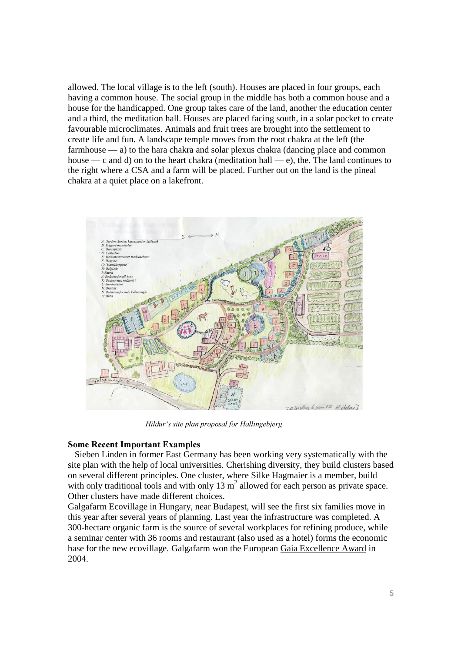allowed. The local village is to the left (south). Houses are placed in four groups, each having a common house. The social group in the middle has both a common house and a house for the handicapped. One group takes care of the land, another the education center and a third, the meditation hall. Houses are placed facing south, in a solar pocket to create favourable microclimates. Animals and fruit trees are brought into the settlement to create life and fun. A landscape temple moves from the root chakra at the left (the farmhouse — a) to the hara chakra and solar plexus chakra (dancing place and common house — c and d) on to the heart chakra (meditation hall — e), the. The land continues to the right where a CSA and a farm will be placed. Further out on the land is the pineal chakra at a quiet place on a lakefront.



Hildur's site plan proposal for Hallingebjerg

## **Some Recent Important Examples**

 Sieben Linden in former East Germany has been working very systematically with the site plan with the help of local universities. Cherishing diversity, they build clusters based on several different principles. One cluster, where Silke Hagmaier is a member, build with only traditional tools and with only 13  $m<sup>2</sup>$  allowed for each person as private space. Other clusters have made different choices.

Galgafarm Ecovillage in Hungary, near Budapest, will see the first six families move in this year after several years of planning. Last year the infrastructure was completed. A 300-hectare organic farm is the source of several workplaces for refining produce, while a seminar center with 36 rooms and restaurant (also used as a hotel) forms the economic base for the new ecovillage. Galgafarm won the European Gaia Excellence Award in 2004.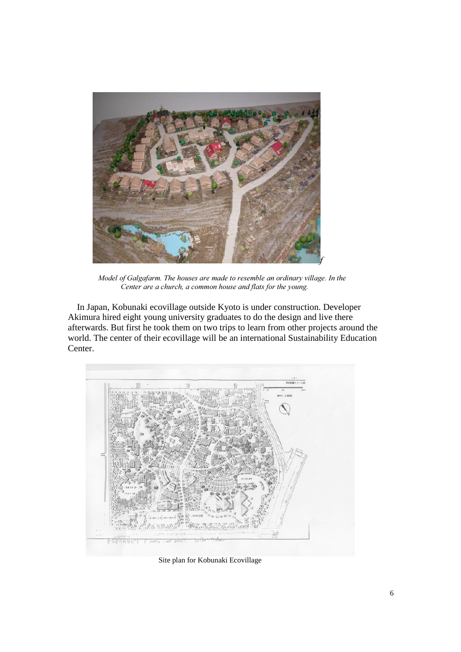

Model of Galgafarm. The houses are made to resemble an ordinary village. In the Center are a church, a common house and flats for the young.

 In Japan, Kobunaki ecovillage outside Kyoto is under construction. Developer Akimura hired eight young university graduates to do the design and live there afterwards. But first he took them on two trips to learn from other projects around the world. The center of their ecovillage will be an international Sustainability Education Center.



Site plan for Kobunaki Ecovillage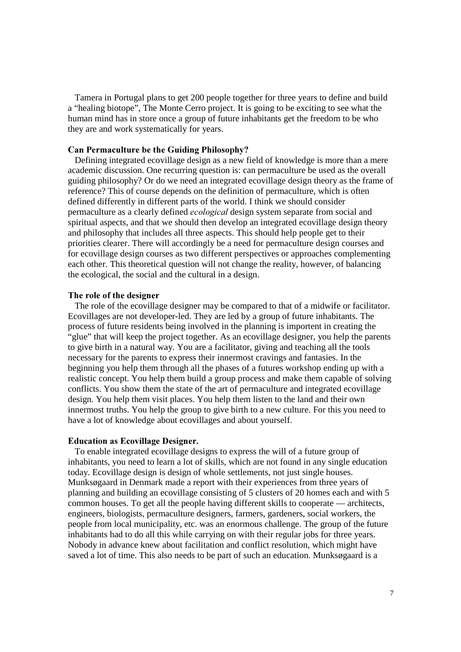Tamera in Portugal plans to get 200 people together for three years to define and build a "healing biotope", The Monte Cerro project. It is going to be exciting to see what the human mind has in store once a group of future inhabitants get the freedom to be who they are and work systematically for years.

## Can Permaculture be the Guiding Philosophy?

 Defining integrated ecovillage design as a new field of knowledge is more than a mere academic discussion. One recurring question is: can permaculture be used as the overall guiding philosophy? Or do we need an integrated ecovillage design theory as the frame of reference? This of course depends on the definition of permaculture, which is often defined differently in different parts of the world. I think we should consider permaculture as a clearly defined *ecological* design system separate from social and spiritual aspects, and that we should then develop an integrated ecovillage design theory and philosophy that includes all three aspects. This should help people get to their priorities clearer. There will accordingly be a need for permaculture design courses and for ecovillage design courses as two different perspectives or approaches complementing each other. This theoretical question will not change the reality, however, of balancing the ecological, the social and the cultural in a design.

#### The role of the designer

 The role of the ecovillage designer may be compared to that of a midwife or facilitator. Ecovillages are not developer-led. They are led by a group of future inhabitants. The process of future residents being involved in the planning is importent in creating the "glue" that will keep the project together. As an ecovillage designer, you help the parents to give birth in a natural way. You are a facilitator, giving and teaching all the tools necessary for the parents to express their innermost cravings and fantasies. In the beginning you help them through all the phases of a futures workshop ending up with a realistic concept. You help them build a group process and make them capable of solving conflicts. You show them the state of the art of permaculture and integrated ecovillage design. You help them visit places. You help them listen to the land and their own innermost truths. You help the group to give birth to a new culture. For this you need to have a lot of knowledge about ecovillages and about yourself.

#### Education as Ecovillage Designer.

 To enable integrated ecovillage designs to express the will of a future group of inhabitants, you need to learn a lot of skills, which are not found in any single education today. Ecovillage design is design of whole settlements, not just single houses. Munksøgaard in Denmark made a report with their experiences from three years of planning and building an ecovillage consisting of 5 clusters of 20 homes each and with 5 common houses. To get all the people having different skills to cooperate — architects, engineers, biologists, permaculture designers, farmers, gardeners, social workers, the people from local municipality, etc. was an enormous challenge. The group of the future inhabitants had to do all this while carrying on with their regular jobs for three years. Nobody in advance knew about facilitation and conflict resolution, which might have saved a lot of time. This also needs to be part of such an education. Munksøgaard is a